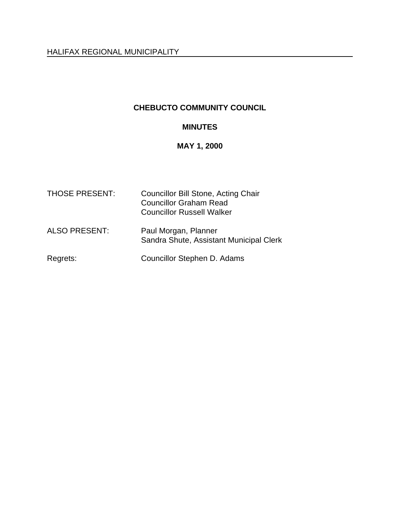### **CHEBUCTO COMMUNITY COUNCIL**

# **MINUTES**

# **MAY 1, 2000**

| <b>THOSE PRESENT:</b> | <b>Councillor Bill Stone, Acting Chair</b><br><b>Councillor Graham Read</b><br><b>Councillor Russell Walker</b> |
|-----------------------|-----------------------------------------------------------------------------------------------------------------|
| <b>ALSO PRESENT:</b>  | Paul Morgan, Planner<br>Sandra Shute, Assistant Municipal Clerk                                                 |
| Regrets:              | Councillor Stephen D. Adams                                                                                     |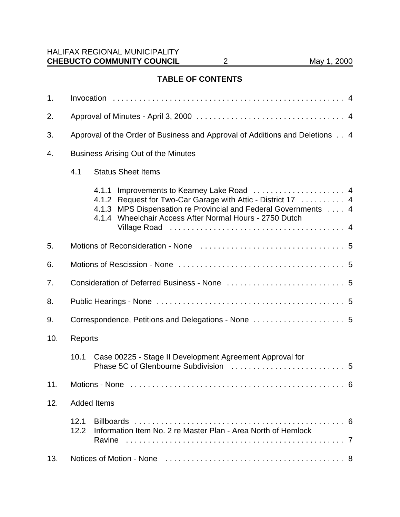## **TABLE OF CONTENTS**

| 1.  |                                                                             |                                                                                                                                                                                                                                            |  |
|-----|-----------------------------------------------------------------------------|--------------------------------------------------------------------------------------------------------------------------------------------------------------------------------------------------------------------------------------------|--|
| 2.  |                                                                             |                                                                                                                                                                                                                                            |  |
| 3.  | Approval of the Order of Business and Approval of Additions and Deletions 4 |                                                                                                                                                                                                                                            |  |
| 4.  | <b>Business Arising Out of the Minutes</b>                                  |                                                                                                                                                                                                                                            |  |
|     | 4.1                                                                         | <b>Status Sheet Items</b>                                                                                                                                                                                                                  |  |
|     |                                                                             | 4.1.1 Improvements to Kearney Lake Road  4<br>Request for Two-Car Garage with Attic - District 17 4<br>4.1.2<br>4.1.3 MPS Dispensation re Provincial and Federal Governments  4<br>4.1.4 Wheelchair Access After Normal Hours - 2750 Dutch |  |
| 5.  |                                                                             |                                                                                                                                                                                                                                            |  |
| 6.  |                                                                             |                                                                                                                                                                                                                                            |  |
| 7.  |                                                                             |                                                                                                                                                                                                                                            |  |
| 8.  |                                                                             |                                                                                                                                                                                                                                            |  |
| 9.  | Correspondence, Petitions and Delegations - None  5                         |                                                                                                                                                                                                                                            |  |
| 10. | Reports                                                                     |                                                                                                                                                                                                                                            |  |
|     | 10.1                                                                        | Case 00225 - Stage II Development Agreement Approval for                                                                                                                                                                                   |  |
| 11. |                                                                             | Motions - None<br>6                                                                                                                                                                                                                        |  |
| 12. | <b>Added Items</b>                                                          |                                                                                                                                                                                                                                            |  |
|     | 12.1<br>12.2                                                                | Information Item No. 2 re Master Plan - Area North of Hemlock                                                                                                                                                                              |  |
| 13. |                                                                             |                                                                                                                                                                                                                                            |  |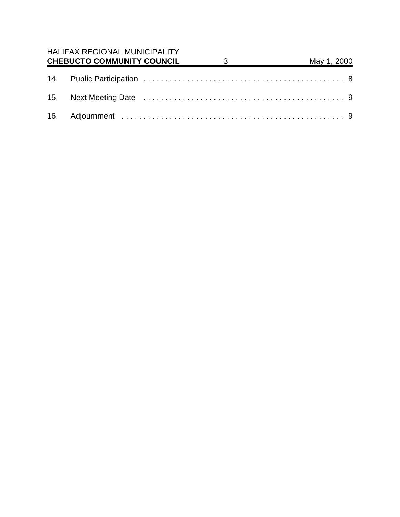| <b>HALIFAX REGIONAL MUNICIPALITY</b><br><b>CHEBUCTO COMMUNITY COUNCIL</b> | $\overline{\mathbf{3}}$ | May 1, 2000 |  |
|---------------------------------------------------------------------------|-------------------------|-------------|--|
|                                                                           |                         |             |  |
|                                                                           |                         |             |  |
|                                                                           |                         |             |  |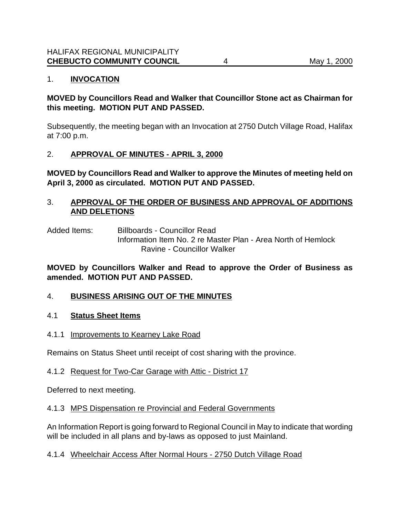### 1. **INVOCATION**

### **MOVED by Councillors Read and Walker that Councillor Stone act as Chairman for this meeting. MOTION PUT AND PASSED.**

Subsequently, the meeting began with an Invocation at 2750 Dutch Village Road, Halifax at 7:00 p.m.

### 2. **APPROVAL OF MINUTES - APRIL 3, 2000**

**MOVED by Councillors Read and Walker to approve the Minutes of meeting held on April 3, 2000 as circulated. MOTION PUT AND PASSED.**

### 3. **APPROVAL OF THE ORDER OF BUSINESS AND APPROVAL OF ADDITIONS AND DELETIONS**

Added Items: Billboards - Councillor Read Information Item No. 2 re Master Plan - Area North of Hemlock Ravine - Councillor Walker

### **MOVED by Councillors Walker and Read to approve the Order of Business as amended. MOTION PUT AND PASSED.**

### 4. **BUSINESS ARISING OUT OF THE MINUTES**

#### 4.1 **Status Sheet Items**

#### 4.1.1 Improvements to Kearney Lake Road

Remains on Status Sheet until receipt of cost sharing with the province.

### 4.1.2 Request for Two-Car Garage with Attic - District 17

Deferred to next meeting.

### 4.1.3 MPS Dispensation re Provincial and Federal Governments

An Information Report is going forward to Regional Council in May to indicate that wording will be included in all plans and by-laws as opposed to just Mainland.

#### 4.1.4 Wheelchair Access After Normal Hours - 2750 Dutch Village Road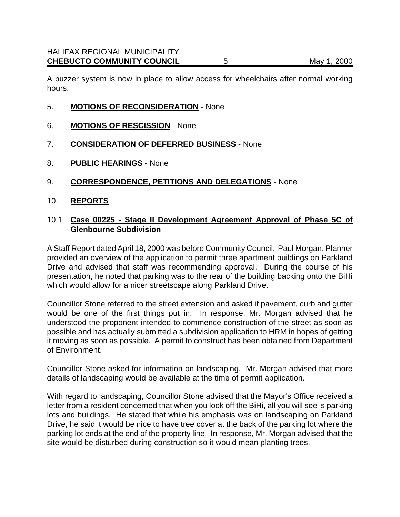A buzzer system is now in place to allow access for wheelchairs after normal working hours.

- 5. **MOTIONS OF RECONSIDERATION** None
- 6. **MOTIONS OF RESCISSION** None
- 7. **CONSIDERATION OF DEFERRED BUSINESS** None
- 8. **PUBLIC HEARINGS** None
- 9. **CORRESPONDENCE, PETITIONS AND DELEGATIONS** None
- 10. **REPORTS**

#### 10.1 **Case 00225 - Stage II Development Agreement Approval of Phase 5C of Glenbourne Subdivision**

A Staff Report dated April 18, 2000 was before Community Council. Paul Morgan, Planner provided an overview of the application to permit three apartment buildings on Parkland Drive and advised that staff was recommending approval. During the course of his presentation, he noted that parking was to the rear of the building backing onto the BiHi which would allow for a nicer streetscape along Parkland Drive.

Councillor Stone referred to the street extension and asked if pavement, curb and gutter would be one of the first things put in. In response, Mr. Morgan advised that he understood the proponent intended to commence construction of the street as soon as possible and has actually submitted a subdivision application to HRM in hopes of getting it moving as soon as possible. A permit to construct has been obtained from Department of Environment.

Councillor Stone asked for information on landscaping. Mr. Morgan advised that more details of landscaping would be available at the time of permit application.

With regard to landscaping, Councillor Stone advised that the Mayor's Office received a letter from a resident concerned that when you look off the BiHi, all you will see is parking lots and buildings. He stated that while his emphasis was on landscaping on Parkland Drive, he said it would be nice to have tree cover at the back of the parking lot where the parking lot ends at the end of the property line. In response, Mr. Morgan advised that the site would be disturbed during construction so it would mean planting trees.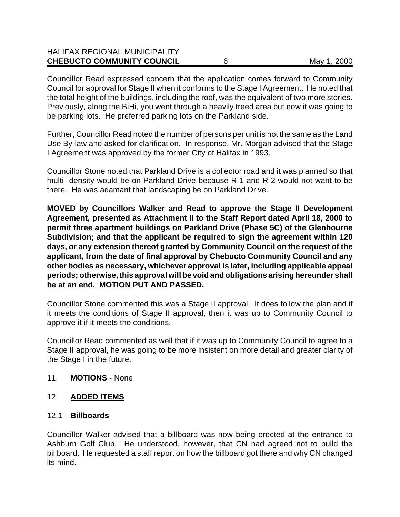| <b>CHEBUCTO COMMUNITY COUNCIL</b>    | May 1, 2000 |
|--------------------------------------|-------------|
| <b>HALIFAX REGIONAL MUNICIPALITY</b> |             |

Councillor Read expressed concern that the application comes forward to Community Council for approval for Stage II when it conforms to the Stage I Agreement. He noted that the total height of the buildings, including the roof, was the equivalent of two more stories. Previously, along the BiHi, you went through a heavily treed area but now it was going to be parking lots. He preferred parking lots on the Parkland side.

Further, Councillor Read noted the number of persons per unit is not the same as the Land Use By-law and asked for clarification. In response, Mr. Morgan advised that the Stage I Agreement was approved by the former City of Halifax in 1993.

Councillor Stone noted that Parkland Drive is a collector road and it was planned so that multi density would be on Parkland Drive because R-1 and R-2 would not want to be there. He was adamant that landscaping be on Parkland Drive.

**MOVED by Councillors Walker and Read to approve the Stage II Development Agreement, presented as Attachment II to the Staff Report dated April 18, 2000 to permit three apartment buildings on Parkland Drive (Phase 5C) of the Glenbourne Subdivision; and that the applicant be required to sign the agreement within 120 days, or any extension thereof granted by Community Council on the request of the applicant, from the date of final approval by Chebucto Community Council and any other bodies as necessary, whichever approval is later, including applicable appeal periods; otherwise, this approval will be void and obligations arising hereunder shall be at an end. MOTION PUT AND PASSED.**

Councillor Stone commented this was a Stage II approval. It does follow the plan and if it meets the conditions of Stage II approval, then it was up to Community Council to approve it if it meets the conditions.

Councillor Read commented as well that if it was up to Community Council to agree to a Stage II approval, he was going to be more insistent on more detail and greater clarity of the Stage I in the future.

#### 11. **MOTIONS** - None

#### 12. **ADDED ITEMS**

#### 12.1 **Billboards**

Councillor Walker advised that a billboard was now being erected at the entrance to Ashburn Golf Club. He understood, however, that CN had agreed not to build the billboard. He requested a staff report on how the billboard got there and why CN changed its mind.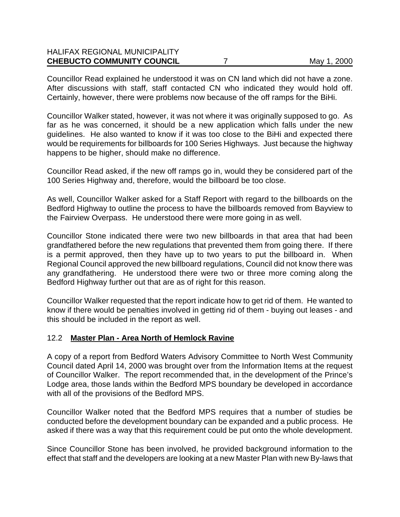| <b>CHEBUCTO COMMUNITY COUNCIL</b>    | May 1, 2000 |
|--------------------------------------|-------------|
| <b>HALIFAX REGIONAL MUNICIPALITY</b> |             |

Councillor Read explained he understood it was on CN land which did not have a zone. After discussions with staff, staff contacted CN who indicated they would hold off. Certainly, however, there were problems now because of the off ramps for the BiHi.

Councillor Walker stated, however, it was not where it was originally supposed to go. As far as he was concerned, it should be a new application which falls under the new guidelines. He also wanted to know if it was too close to the BiHi and expected there would be requirements for billboards for 100 Series Highways. Just because the highway happens to be higher, should make no difference.

Councillor Read asked, if the new off ramps go in, would they be considered part of the 100 Series Highway and, therefore, would the billboard be too close.

As well, Councillor Walker asked for a Staff Report with regard to the billboards on the Bedford Highway to outline the process to have the billboards removed from Bayview to the Fairview Overpass. He understood there were more going in as well.

Councillor Stone indicated there were two new billboards in that area that had been grandfathered before the new regulations that prevented them from going there. If there is a permit approved, then they have up to two years to put the billboard in. When Regional Council approved the new billboard regulations, Council did not know there was any grandfathering. He understood there were two or three more coming along the Bedford Highway further out that are as of right for this reason.

Councillor Walker requested that the report indicate how to get rid of them. He wanted to know if there would be penalties involved in getting rid of them - buying out leases - and this should be included in the report as well.

#### 12.2 **Master Plan - Area North of Hemlock Ravine**

A copy of a report from Bedford Waters Advisory Committee to North West Community Council dated April 14, 2000 was brought over from the Information Items at the request of Councillor Walker. The report recommended that, in the development of the Prince's Lodge area, those lands within the Bedford MPS boundary be developed in accordance with all of the provisions of the Bedford MPS.

Councillor Walker noted that the Bedford MPS requires that a number of studies be conducted before the development boundary can be expanded and a public process. He asked if there was a way that this requirement could be put onto the whole development.

Since Councillor Stone has been involved, he provided background information to the effect that staff and the developers are looking at a new Master Plan with new By-laws that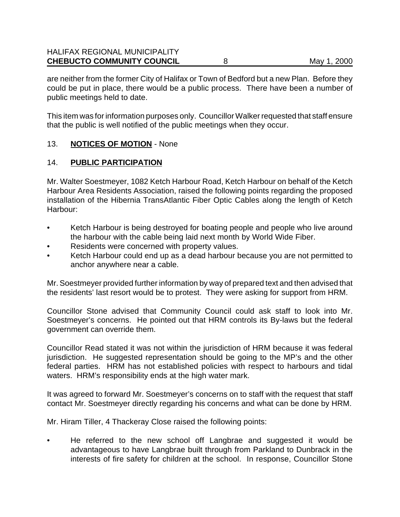are neither from the former City of Halifax or Town of Bedford but a new Plan. Before they could be put in place, there would be a public process. There have been a number of public meetings held to date.

This item was for information purposes only. Councillor Walker requested that staff ensure that the public is well notified of the public meetings when they occur.

### 13. **NOTICES OF MOTION** - None

### 14. **PUBLIC PARTICIPATION**

Mr. Walter Soestmeyer, 1082 Ketch Harbour Road, Ketch Harbour on behalf of the Ketch Harbour Area Residents Association, raised the following points regarding the proposed installation of the Hibernia TransAtlantic Fiber Optic Cables along the length of Ketch Harbour:

- Ketch Harbour is being destroyed for boating people and people who live around the harbour with the cable being laid next month by World Wide Fiber.
- Residents were concerned with property values.
- Ketch Harbour could end up as a dead harbour because you are not permitted to anchor anywhere near a cable.

Mr. Soestmeyer provided further information by way of prepared text and then advised that the residents' last resort would be to protest. They were asking for support from HRM.

Councillor Stone advised that Community Council could ask staff to look into Mr. Soestmeyer's concerns. He pointed out that HRM controls its By-laws but the federal government can override them.

Councillor Read stated it was not within the jurisdiction of HRM because it was federal jurisdiction. He suggested representation should be going to the MP's and the other federal parties. HRM has not established policies with respect to harbours and tidal waters. HRM's responsibility ends at the high water mark.

It was agreed to forward Mr. Soestmeyer's concerns on to staff with the request that staff contact Mr. Soestmeyer directly regarding his concerns and what can be done by HRM.

Mr. Hiram Tiller, 4 Thackeray Close raised the following points:

• He referred to the new school off Langbrae and suggested it would be advantageous to have Langbrae built through from Parkland to Dunbrack in the interests of fire safety for children at the school. In response, Councillor Stone